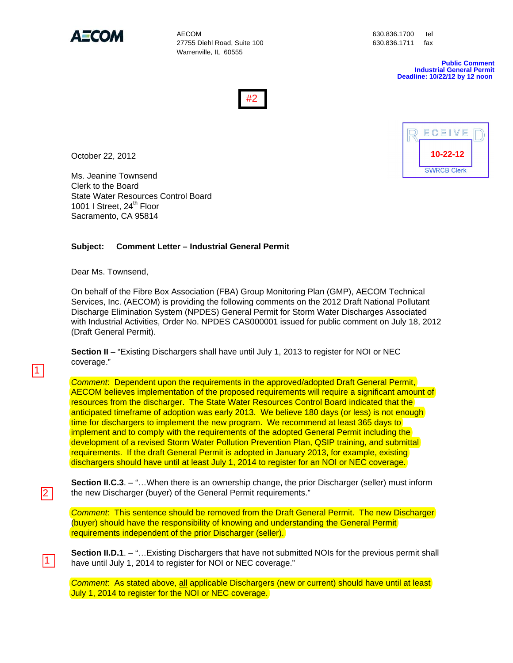

**AFCOM** AECOM 630.836.1700 tel 27755 Diehl Road, Suite 100 630.836.1711 fax Warrenville, IL 60555

**Public Comment Industrial General Permit Deadline: 10/22/12 by 12 noon** 





October 22, 2012

Ms. Jeanine Townsend Clerk to the Board State Water Resources Control Board 1001 I Street, 24<sup>th</sup> Floor Sacramento, CA 95814

## **Subject: Comment Letter – Industrial General Permit**

Dear Ms. Townsend,

1

2

1

On behalf of the Fibre Box Association (FBA) Group Monitoring Plan (GMP), AECOM Technical Services, Inc. (AECOM) is providing the following comments on the 2012 Draft National Pollutant Discharge Elimination System (NPDES) General Permit for Storm Water Discharges Associated with Industrial Activities, Order No. NPDES CAS000001 issued for public comment on July 18, 2012 (Draft General Permit).

**Section II** – "Existing Dischargers shall have until July 1, 2013 to register for NOI or NEC coverage."

*Comment*: Dependent upon the requirements in the approved/adopted Draft General Permit, AECOM believes implementation of the proposed requirements will require a significant amount of resources from the discharger. The State Water Resources Control Board indicated that the anticipated timeframe of adoption was early 2013. We believe 180 days (or less) is not enough time for dischargers to implement the new program. We recommend at least 365 days to implement and to comply with the requirements of the adopted General Permit including the development of a revised Storm Water Pollution Prevention Plan, QSIP training, and submittal requirements. If the draft General Permit is adopted in January 2013, for example, existing dischargers should have until at least July 1, 2014 to register for an NOI or NEC coverage.

**Section II.C.3**. – "... When there is an ownership change, the prior Discharger (seller) must inform the new Discharger (buyer) of the General Permit requirements."

*Comment*: This sentence should be removed from the Draft General Permit. The new Discharger (buyer) should have the responsibility of knowing and understanding the General Permit requirements independent of the prior Discharger (seller).

**Section II.D.1**. – "... Existing Dischargers that have not submitted NOIs for the previous permit shall have until July 1, 2014 to register for NOI or NEC coverage."

*Comment*: As stated above, all applicable Dischargers (new or current) should have until at least July 1, 2014 to register for the NOI or NEC coverage.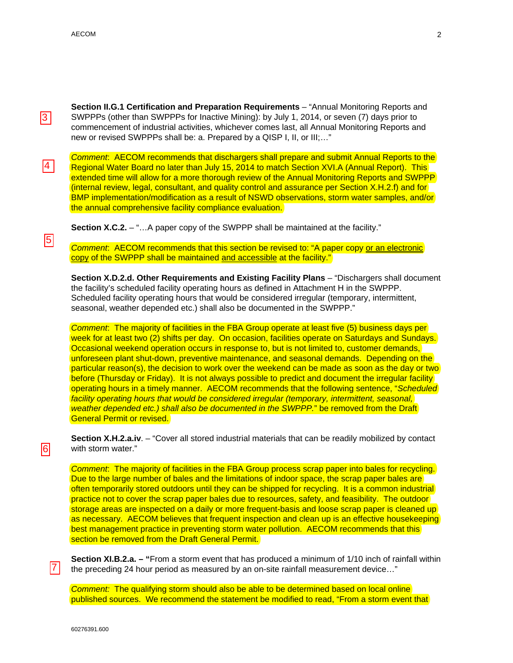3

4

 $\overline{5}$ 

**Section II.G.1 Certification and Preparation Requirements** – "Annual Monitoring Reports and SWPPPs (other than SWPPPs for Inactive Mining): by July 1, 2014, or seven (7) days prior to commencement of industrial activities, whichever comes last, all Annual Monitoring Reports and new or revised SWPPPs shall be: a. Prepared by a QISP I, II, or III;…"

*Comment*: AECOM recommends that dischargers shall prepare and submit Annual Reports to the Regional Water Board no later than July 15, 2014 to match Section XVI.A (Annual Report). This extended time will allow for a more thorough review of the Annual Monitoring Reports and SWPPP (internal review, legal, consultant, and quality control and assurance per Section X.H.2.f) and for BMP implementation/modification as a result of NSWD observations, storm water samples, and/or the annual comprehensive facility compliance evaluation.

**Section X.C.2.** – "...A paper copy of the SWPPP shall be maintained at the facility."

*Comment*: AECOM recommends that this section be revised to: "A paper copy or an electronic copy of the SWPPP shall be maintained and accessible at the facility."

**Section X.D.2.d. Other Requirements and Existing Facility Plans** – "Dischargers shall document the facility's scheduled facility operating hours as defined in Attachment H in the SWPPP. Scheduled facility operating hours that would be considered irregular (temporary, intermittent, seasonal, weather depended etc.) shall also be documented in the SWPPP."

*Comment*: The majority of facilities in the FBA Group operate at least five (5) business days per week for at least two (2) shifts per day. On occasion, facilities operate on Saturdays and Sundays. Occasional weekend operation occurs in response to, but is not limited to, customer demands, unforeseen plant shut-down, preventive maintenance, and seasonal demands. Depending on the particular reason(s), the decision to work over the weekend can be made as soon as the day or two before (Thursday or Friday). It is not always possible to predict and document the irregular facility operating hours in a timely manner. AECOM recommends that the following sentence, "*Scheduled facility operating hours that would be considered irregular (temporary, intermittent, seasonal, weather depended etc.) shall also be documented in the SWPPP.*" be removed from the Draft General Permit or revised.

**Section X.H.2.a.iv**. – "Cover all stored industrial materials that can be readily mobilized by contact with storm water."

*Comment*: The majority of facilities in the FBA Group process scrap paper into bales for recycling. Due to the large number of bales and the limitations of indoor space, the scrap paper bales are often temporarily stored outdoors until they can be shipped for recycling. It is a common industrial practice not to cover the scrap paper bales due to resources, safety, and feasibility. The outdoor storage areas are inspected on a daily or more frequent-basis and loose scrap paper is cleaned up as necessary. AECOM believes that frequent inspection and clean up is an effective housekeeping best management practice in preventing storm water pollution. AECOM recommends that this section be removed from the Draft General Permit.

**Section XI.B.2.a. – "**From a storm event that has produced a minimum of 1/10 inch of rainfall within the preceding 24 hour period as measured by an on-site rainfall measurement device…"

*Comment:* The qualifying storm should also be able to be determined based on local online published sources. We recommend the statement be modified to read, "From a storm event that

7

 $\mathfrak{p}$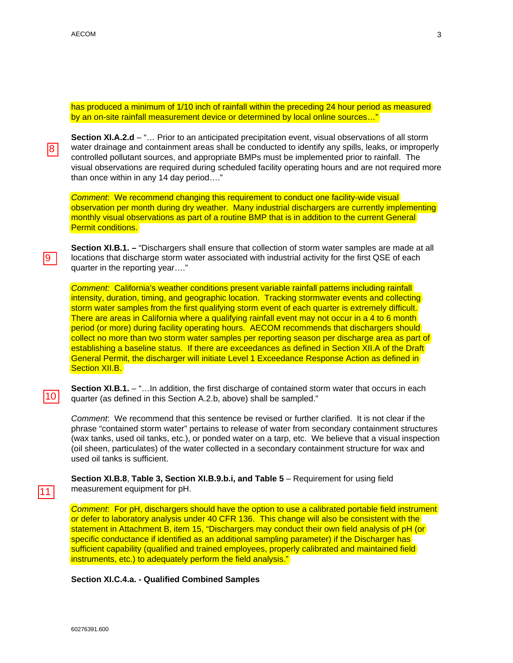has produced a minimum of 1/10 inch of rainfall within the preceding 24 hour period as measured by an on-site rainfall measurement device or determined by local online sources…"

8

l9 I

**Section XI.A.2.d** – "… Prior to an anticipated precipitation event, visual observations of all storm water drainage and containment areas shall be conducted to identify any spills, leaks, or improperly controlled pollutant sources, and appropriate BMPs must be implemented prior to rainfall. The visual observations are required during scheduled facility operating hours and are not required more than once within in any 14 day period…."

*Comment*: We recommend changing this requirement to conduct one facility-wide visual observation per month during dry weather. Many industrial dischargers are currently implementing monthly visual observations as part of a routine BMP that is in addition to the current General Permit conditions.

**Section XI.B.1. –** "Dischargers shall ensure that collection of storm water samples are made at all locations that discharge storm water associated with industrial activity for the first QSE of each quarter in the reporting year…."

*Comment:* California's weather conditions present variable rainfall patterns including rainfall intensity, duration, timing, and geographic location. Tracking stormwater events and collecting storm water samples from the first qualifying storm event of each quarter is extremely difficult. There are areas in California where a qualifying rainfall event may not occur in a 4 to 6 month period (or more) during facility operating hours. AECOM recommends that dischargers should collect no more than two storm water samples per reporting season per discharge area as part of establishing a baseline status. If there are exceedances as defined in Section XII.A of the Draft General Permit, the discharger will initiate Level 1 Exceedance Response Action as defined in Section XII.B.

10

11

**Section XI.B.1.** – "... In addition, the first discharge of contained storm water that occurs in each quarter (as defined in this Section A.2.b, above) shall be sampled."

*Comment*: We recommend that this sentence be revised or further clarified. It is not clear if the phrase "contained storm water" pertains to release of water from secondary containment structures (wax tanks, used oil tanks, etc.), or ponded water on a tarp, etc. We believe that a visual inspection (oil sheen, particulates) of the water collected in a secondary containment structure for wax and used oil tanks is sufficient.

**Section XI.B.8**, **Table 3, Section XI.B.9.b.i, and Table 5** – Requirement for using field measurement equipment for pH.

*Comment*: For pH, dischargers should have the option to use a calibrated portable field instrument or defer to laboratory analysis under 40 CFR 136. This change will also be consistent with the statement in Attachment B, item 15, "Dischargers may conduct their own field analysis of pH (or) specific conductance if identified as an additional sampling parameter) if the Discharger has sufficient capability (qualified and trained employees, properly calibrated and maintained field) instruments, etc.) to adequately perform the field analysis."

## **Section XI.C.4.a. - Qualified Combined Samples**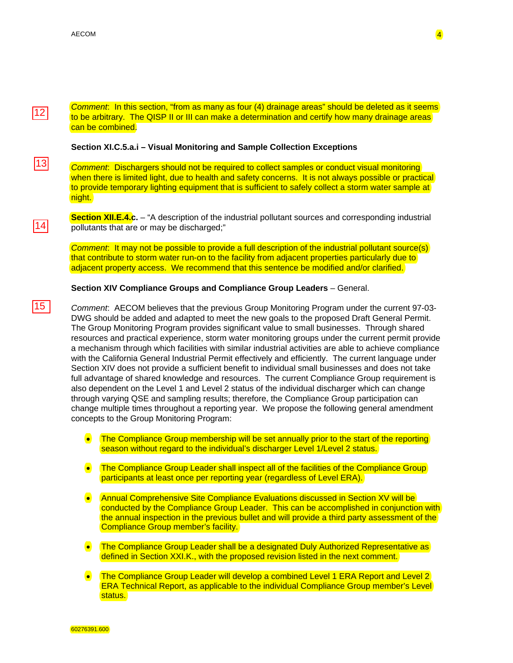$\frac{12}{13}$ <br> $\frac{14}{15}$ 

|14|

 $15$ 

|13|

 $|12|$ 

*Comment*: In this section, "from as many as four (4) drainage areas" should be deleted as it seems to be arbitrary. The QISP II or III can make a determination and certify how many drainage areas can be combined.

## **Section XI.C.5.a.i – Visual Monitoring and Sample Collection Exceptions**

*Comment*: Dischargers should not be required to collect samples or conduct visual monitoring when there is limited light, due to health and safety concerns. It is not always possible or practical to provide temporary lighting equipment that is sufficient to safely collect a storm water sample at night.

**Section XII.E.4.c.** – "A description of the industrial pollutant sources and corresponding industrial pollutants that are or may be discharged;"

*Comment*: It may not be possible to provide a full description of the industrial pollutant source(s) that contribute to storm water run-on to the facility from adjacent properties particularly due to adjacent property access. We recommend that this sentence be modified and/or clarified.

**Section XIV Compliance Groups and Compliance Group Leaders** – General.

*Comment*: AECOM believes that the previous Group Monitoring Program under the current 97-03- DWG should be added and adapted to meet the new goals to the proposed Draft General Permit. The Group Monitoring Program provides significant value to small businesses. Through shared resources and practical experience, storm water monitoring groups under the current permit provide a mechanism through which facilities with similar industrial activities are able to achieve compliance with the California General Industrial Permit effectively and efficiently. The current language under Section XIV does not provide a sufficient benefit to individual small businesses and does not take full advantage of shared knowledge and resources. The current Compliance Group requirement is also dependent on the Level 1 and Level 2 status of the individual discharger which can change through varying QSE and sampling results; therefore, the Compliance Group participation can change multiple times throughout a reporting year. We propose the following general amendment concepts to the Group Monitoring Program:

- The Compliance Group membership will be set annually prior to the start of the reporting season without regard to the individual's discharger Level 1/Level 2 status.
- **•** The Compliance Group Leader shall inspect all of the facilities of the Compliance Group participants at least once per reporting year (regardless of Level ERA).
- Annual Comprehensive Site Compliance Evaluations discussed in Section XV will be conducted by the Compliance Group Leader. This can be accomplished in conjunction with the annual inspection in the previous bullet and will provide a third party assessment of the Compliance Group member's facility.
- The Compliance Group Leader shall be a designated Duly Authorized Representative as defined in Section XXI.K., with the proposed revision listed in the next comment.
- **•** The Compliance Group Leader will develop a combined Level 1 ERA Report and Level 2 ERA Technical Report, as applicable to the individual Compliance Group member's Level status.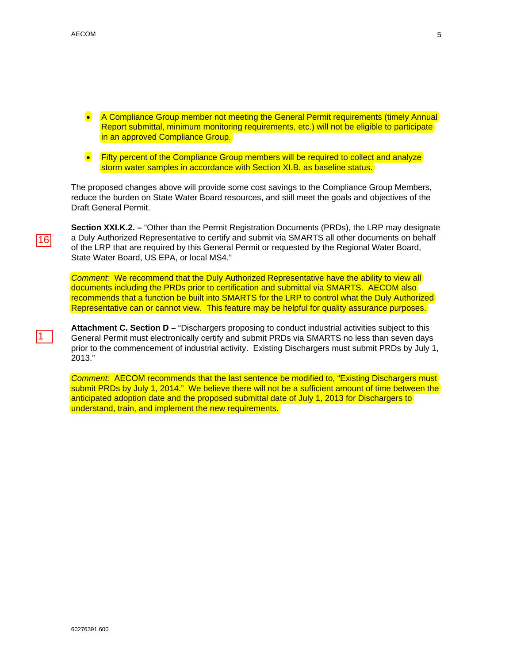- A Compliance Group member not meeting the General Permit requirements (timely Annual Report submittal, minimum monitoring requirements, etc.) will not be eligible to participate in an approved Compliance Group.
- Fifty percent of the Compliance Group members will be required to collect and analyze storm water samples in accordance with Section XI.B. as baseline status.

The proposed changes above will provide some cost savings to the Compliance Group Members, reduce the burden on State Water Board resources, and still meet the goals and objectives of the Draft General Permit.

**Section XXI.K.2. –** "Other than the Permit Registration Documents (PRDs), the LRP may designate a Duly Authorized Representative to certify and submit via SMARTS all other documents on behalf of the LRP that are required by this General Permit or requested by the Regional Water Board, State Water Board, US EPA, or local MS4."

**Comment: We recommend that the Duly Authorized Representative have the ability to view all** documents including the PRDs prior to certification and submittal via SMARTS. AECOM also recommends that a function be built into SMARTS for the LRP to control what the Duly Authorized Representative can or cannot view. This feature may be helpful for quality assurance purposes.

Attachment C. Section D – "Dischargers proposing to conduct industrial activities subject to this General Permit must electronically certify and submit PRDs via SMARTS no less than seven days prior to the commencement of industrial activity. Existing Dischargers must submit PRDs by July 1, 2013."

*Comment:* AECOM recommends that the last sentence be modified to, "Existing Dischargers must submit PRDs by July 1, 2014." We believe there will not be a sufficient amount of time between the anticipated adoption date and the proposed submittal date of July 1, 2013 for Dischargers to understand, train, and implement the new requirements.

5

<u> 16 |</u>  $\frac{16}{1}$ 

 $\mathbf 1$